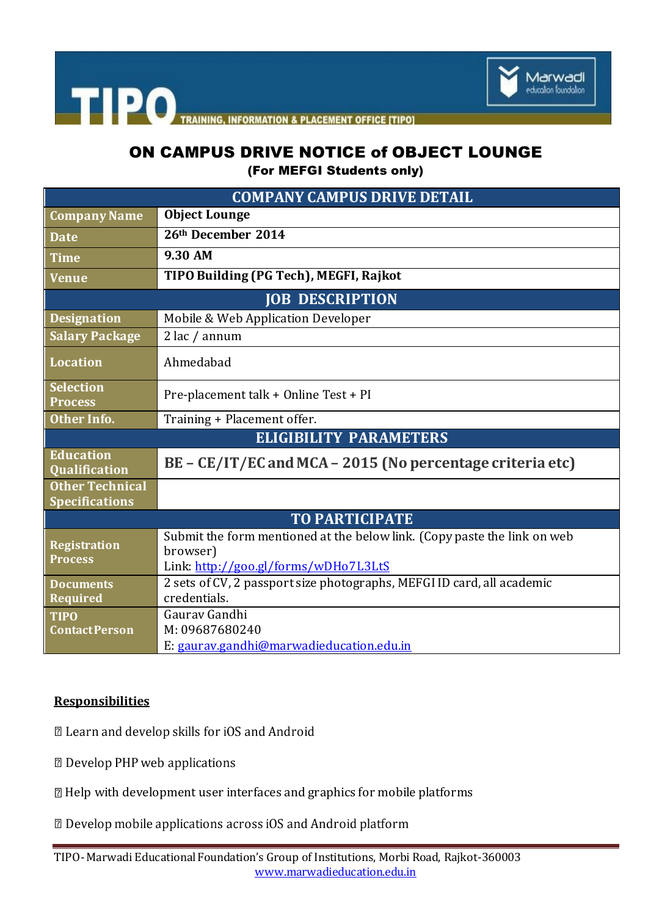

TRAINING, INFORMATION & PLACEMENT OFFICE [TIPO]

# ON CAMPUS DRIVE NOTICE of OBJECT LOUNGE

(For MEFGI Students only)

| <b>COMPANY CAMPUS DRIVE DETAIL</b> |                                                                          |
|------------------------------------|--------------------------------------------------------------------------|
| <b>Company Name</b>                | <b>Object Lounge</b>                                                     |
| <b>Date</b>                        | 26th December 2014                                                       |
| <b>Time</b>                        | 9.30 AM                                                                  |
| <b>Venue</b>                       | TIPO Building (PG Tech), MEGFI, Rajkot                                   |
| <b>JOB DESCRIPTION</b>             |                                                                          |
| <b>Designation</b>                 | Mobile & Web Application Developer                                       |
| <b>Salary Package</b>              | $2$ lac / annum                                                          |
| <b>Location</b>                    | Ahmedabad                                                                |
| <b>Selection</b><br><b>Process</b> | Pre-placement talk + Online Test + PI                                    |
| Other Info.                        | Training + Placement offer.                                              |
| <b>ELIGIBILITY PARAMETERS</b>      |                                                                          |
| <b>Education</b><br>Qualification  | BE - CE/IT/EC and MCA - 2015 (No percentage criteria etc)                |
| <b>Other Technical</b>             |                                                                          |
| <b>Specifications</b>              |                                                                          |
| <b>TO PARTICIPATE</b>              |                                                                          |
| <b>Registration</b>                | Submit the form mentioned at the below link. (Copy paste the link on web |
| <b>Process</b>                     | browser)<br>Link: http://goo.gl/forms/wDHo7L3LtS                         |
| <b>Documents</b>                   | 2 sets of CV, 2 passport size photographs, MEFGI ID card, all academic   |
| Required                           | credentials.                                                             |
| <b>TIPO</b>                        | Gauray Gandhi                                                            |
| <b>Contact Person</b>              | M: 09687680240                                                           |
|                                    | E: gaurav.gandhi@marwadieducation.edu.in                                 |

### **Responsibilities**

- Z Learn and develop skills for iOS and Android
- 2 Develop PHP web applications
- Help with development user interfaces and graphics for mobile platforms
- Z Develop mobile applications across iOS and Android platform